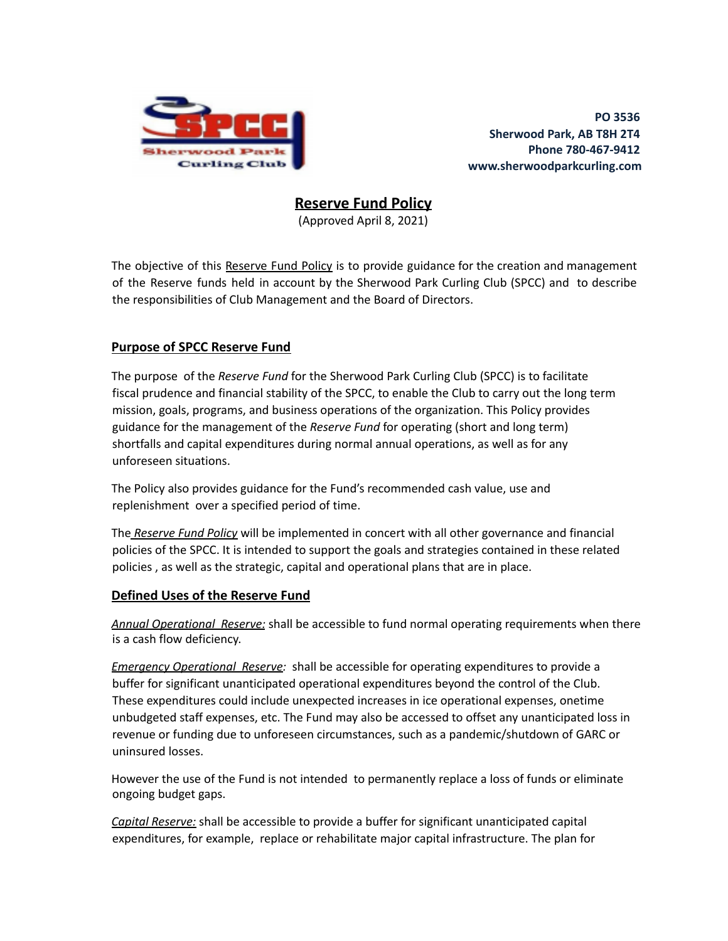

**PO 3536 Sherwood Park, AB T8H 2T4 Phone 780-467-9412 www.sherwoodparkcurling.com**

**Reserve Fund Policy**

(Approved April 8, 2021)

The objective of this Reserve Fund Policy is to provide guidance for the creation and management of the Reserve funds held in account by the Sherwood Park Curling Club (SPCC) and to describe the responsibilities of Club Management and the Board of Directors.

# **Purpose of SPCC Reserve Fund**

The purpose of the *Reserve Fund* for the Sherwood Park Curling Club (SPCC) is to facilitate fiscal prudence and financial stability of the SPCC, to enable the Club to carry out the long term mission, goals, programs, and business operations of the organization. This Policy provides guidance for the management of the *Reserve Fund* for operating (short and long term) shortfalls and capital expenditures during normal annual operations, as well as for any unforeseen situations.

The Policy also provides guidance for the Fund's recommended cash value, use and replenishment over a specified period of time.

The *Reserve Fund Policy* will be implemented in concert with all other governance and financial policies of the SPCC. It is intended to support the goals and strategies contained in these related policies , as well as the strategic, capital and operational plans that are in place.

# **Defined Uses of the Reserve Fund**

*Annual Operational Reserve:* shall be accessible to fund normal operating requirements when there is a cash flow deficiency.

*Emergency Operational Reserve:* shall be accessible for operating expenditures to provide a buffer for significant unanticipated operational expenditures beyond the control of the Club. These expenditures could include unexpected increases in ice operational expenses, onetime unbudgeted staff expenses, etc. The Fund may also be accessed to offset any unanticipated loss in revenue or funding due to unforeseen circumstances, such as a pandemic/shutdown of GARC or uninsured losses.

However the use of the Fund is not intended to permanently replace a loss of funds or eliminate ongoing budget gaps.

*Capital Reserve:* shall be accessible to provide a buffer for significant unanticipated capital expenditures, for example, replace or rehabilitate major capital infrastructure. The plan for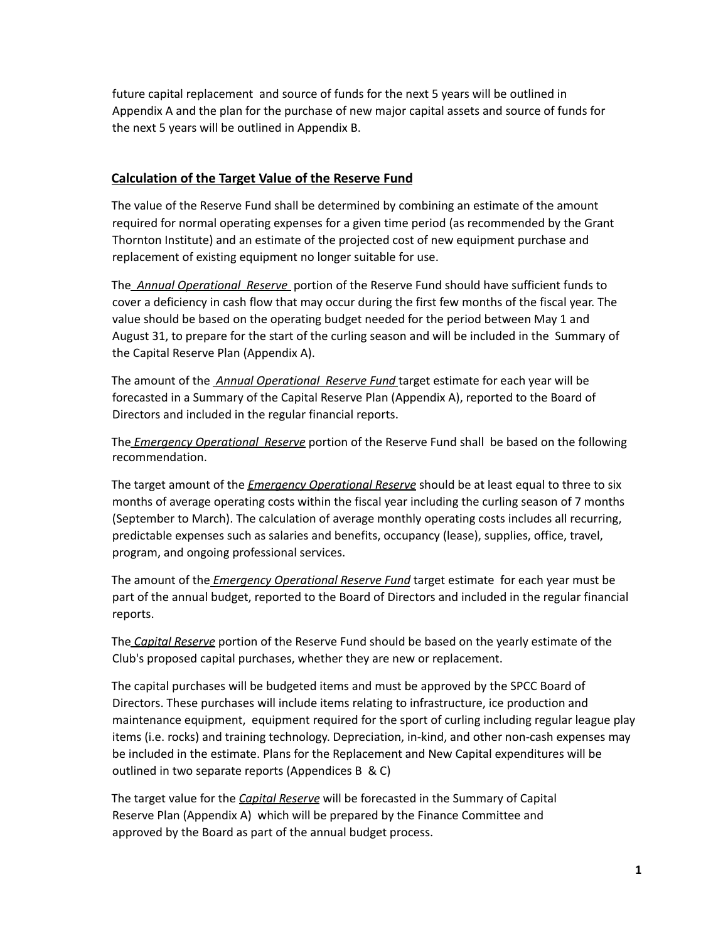future capital replacement and source of funds for the next 5 years will be outlined in Appendix A and the plan for the purchase of new major capital assets and source of funds for the next 5 years will be outlined in Appendix B.

#### **Calculation of the Target Value of the Reserve Fund**

The value of the Reserve Fund shall be determined by combining an estimate of the amount required for normal operating expenses for a given time period (as recommended by the Grant Thornton Institute) and an estimate of the projected cost of new equipment purchase and replacement of existing equipment no longer suitable for use.

The *Annual Operational Reserve* portion of the Reserve Fund should have sufficient funds to cover a deficiency in cash flow that may occur during the first few months of the fiscal year. The value should be based on the operating budget needed for the period between May 1 and August 31, to prepare for the start of the curling season and will be included in the Summary of the Capital Reserve Plan (Appendix A).

The amount of the *Annual Operational Reserve Fund* target estimate for each year will be forecasted in a Summary of the Capital Reserve Plan (Appendix A), reported to the Board of Directors and included in the regular financial reports.

The *Emergency Operational Reserve* portion of the Reserve Fund shall be based on the following recommendation.

The target amount of the *Emergency Operational Reserve* should be at least equal to three to six months of average operating costs within the fiscal year including the curling season of 7 months (September to March). The calculation of average monthly operating costs includes all recurring, predictable expenses such as salaries and benefits, occupancy (lease), supplies, office, travel, program, and ongoing professional services.

The amount of the *Emergency Operational Reserve Fund* target estimate for each year must be part of the annual budget, reported to the Board of Directors and included in the regular financial reports.

The *Capital Reserve* portion of the Reserve Fund should be based on the yearly estimate of the Club's proposed capital purchases, whether they are new or replacement.

The capital purchases will be budgeted items and must be approved by the SPCC Board of Directors. These purchases will include items relating to infrastructure, ice production and maintenance equipment, equipment required for the sport of curling including regular league play items (i.e. rocks) and training technology. Depreciation, in-kind, and other non-cash expenses may be included in the estimate. Plans for the Replacement and New Capital expenditures will be outlined in two separate reports (Appendices B & C)

The target value for the *Capital Reserve* will be forecasted in the Summary of Capital Reserve Plan (Appendix A) which will be prepared by the Finance Committee and approved by the Board as part of the annual budget process.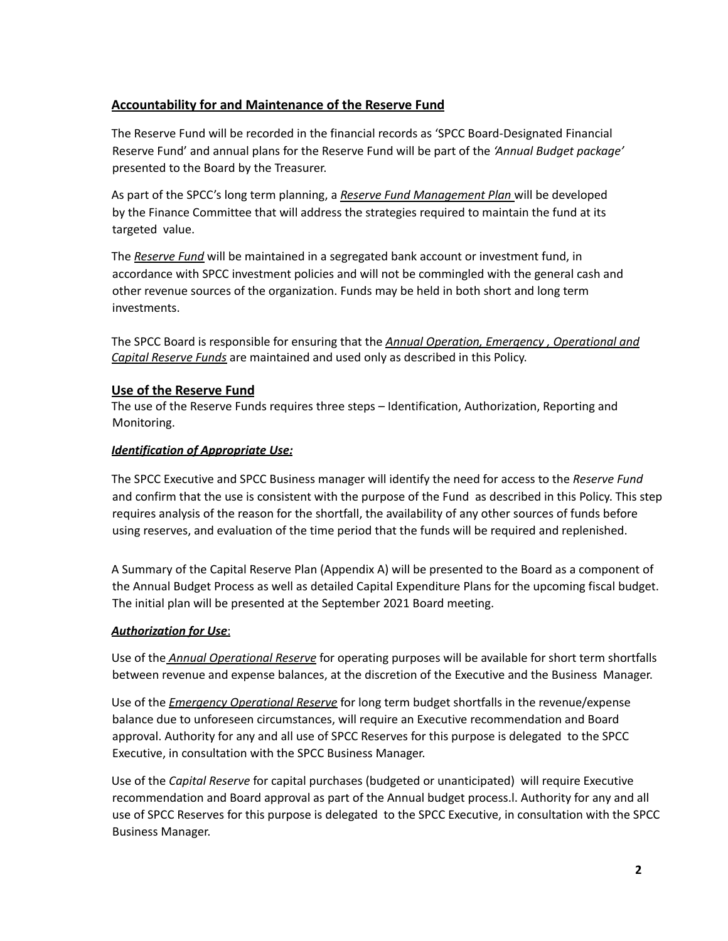# **Accountability for and Maintenance of the Reserve Fund**

The Reserve Fund will be recorded in the financial records as 'SPCC Board-Designated Financial Reserve Fund' and annual plans for the Reserve Fund will be part of the *'Annual Budget package'* presented to the Board by the Treasurer.

As part of the SPCC's long term planning, a *Reserve Fund Management Plan* will be developed by the Finance Committee that will address the strategies required to maintain the fund at its targeted value.

The *Reserve Fund* will be maintained in a segregated bank account or investment fund, in accordance with SPCC investment policies and will not be commingled with the general cash and other revenue sources of the organization. Funds may be held in both short and long term investments.

The SPCC Board is responsible for ensuring that the *Annual Operation, Emergency , Operational and Capital Reserve Funds* are maintained and used only as described in this Policy.

## **Use of the Reserve Fund**

The use of the Reserve Funds requires three steps – Identification, Authorization, Reporting and Monitoring.

## *Identification of Appropriate Use:*

The SPCC Executive and SPCC Business manager will identify the need for access to the *Reserve Fund* and confirm that the use is consistent with the purpose of the Fund as described in this Policy. This step requires analysis of the reason for the shortfall, the availability of any other sources of funds before using reserves, and evaluation of the time period that the funds will be required and replenished.

A Summary of the Capital Reserve Plan (Appendix A) will be presented to the Board as a component of the Annual Budget Process as well as detailed Capital Expenditure Plans for the upcoming fiscal budget. The initial plan will be presented at the September 2021 Board meeting.

## *Authorization for Use*:

Use of the *Annual Operational Reserve* for operating purposes will be available for short term shortfalls between revenue and expense balances, at the discretion of the Executive and the Business Manager.

Use of the *Emergency Operational Reserve* for long term budget shortfalls in the revenue/expense balance due to unforeseen circumstances, will require an Executive recommendation and Board approval. Authority for any and all use of SPCC Reserves for this purpose is delegated to the SPCC Executive, in consultation with the SPCC Business Manager.

Use of the *Capital Reserve* for capital purchases (budgeted or unanticipated) will require Executive recommendation and Board approval as part of the Annual budget process.l. Authority for any and all use of SPCC Reserves for this purpose is delegated to the SPCC Executive, in consultation with the SPCC Business Manager.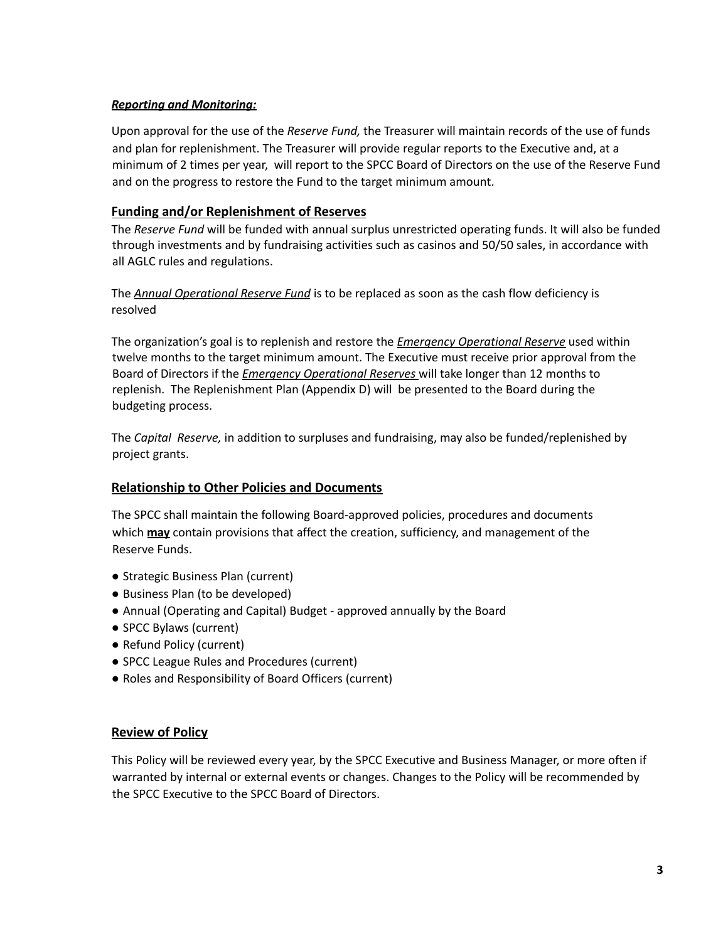#### *Reporting and Monitoring:*

Upon approval for the use of the *Reserve Fund,* the Treasurer will maintain records of the use of funds and plan for replenishment. The Treasurer will provide regular reports to the Executive and, at a minimum of 2 times per year, will report to the SPCC Board of Directors on the use of the Reserve Fund and on the progress to restore the Fund to the target minimum amount.

# **Funding and/or Replenishment of Reserves**

The *Reserve Fund* will be funded with annual surplus unrestricted operating funds. It will also be funded through investments and by fundraising activities such as casinos and 50/50 sales, in accordance with all AGLC rules and regulations.

The *Annual Operational Reserve Fund* is to be replaced as soon as the cash flow deficiency is resolved

The organization's goal is to replenish and restore the *Emergency Operational Reserve* used within twelve months to the target minimum amount. The Executive must receive prior approval from the Board of Directors if the *Emergency Operational Reserves* will take longer than 12 months to replenish. The Replenishment Plan (Appendix D) will be presented to the Board during the budgeting process.

The *Capital Reserve,* in addition to surpluses and fundraising, may also be funded/replenished by project grants.

## **Relationship to Other Policies and Documents**

The SPCC shall maintain the following Board-approved policies, procedures and documents which **may** contain provisions that affect the creation, sufficiency, and management of the Reserve Funds.

- Strategic Business Plan (current)
- Business Plan (to be developed)
- Annual (Operating and Capital) Budget approved annually by the Board
- SPCC Bylaws (current)
- Refund Policy (current)
- SPCC League Rules and Procedures (current)
- Roles and Responsibility of Board Officers (current)

## **Review of Policy**

This Policy will be reviewed every year, by the SPCC Executive and Business Manager, or more often if warranted by internal or external events or changes. Changes to the Policy will be recommended by the SPCC Executive to the SPCC Board of Directors.